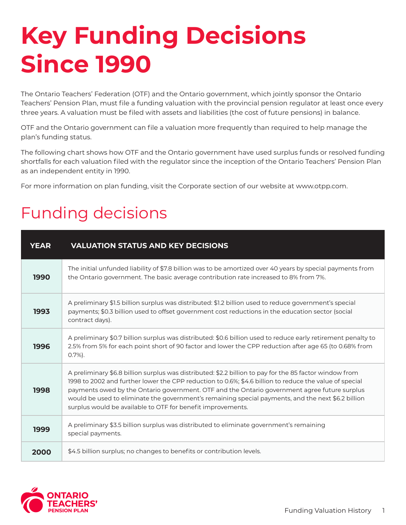## **Key Funding Decisions Since 1990**

The Ontario Teachers' Federation (OTF) and the Ontario government, which jointly sponsor the Ontario Teachers' Pension Plan, must file a funding valuation with the provincial pension regulator at least once every three years. A valuation must be filed with assets and liabilities (the cost of future pensions) in balance.

OTF and the Ontario government can file a valuation more frequently than required to help manage the plan's funding status.

The following chart shows how OTF and the Ontario government have used surplus funds or resolved funding shortfalls for each valuation filed with the regulator since the inception of the Ontario Teachers' Pension Plan as an independent entity in 1990.

For more information on plan funding, visit the Corporate section of our website at www.otpp.com.

## Funding decisions

| <b>YEAR</b> | <b>VALUATION STATUS AND KEY DECISIONS</b>                                                                                                                                                                                                                                                                                                                                                                                                                                              |
|-------------|----------------------------------------------------------------------------------------------------------------------------------------------------------------------------------------------------------------------------------------------------------------------------------------------------------------------------------------------------------------------------------------------------------------------------------------------------------------------------------------|
| 1990        | The initial unfunded liability of \$7.8 billion was to be amortized over 40 years by special payments from<br>the Ontario government. The basic average contribution rate increased to 8% from 7%.                                                                                                                                                                                                                                                                                     |
| 1993        | A preliminary \$1.5 billion surplus was distributed: \$1.2 billion used to reduce government's special<br>payments; \$0.3 billion used to offset government cost reductions in the education sector (social<br>contract days).                                                                                                                                                                                                                                                         |
| 1996        | A preliminary \$0.7 billion surplus was distributed: \$0.6 billion used to reduce early retirement penalty to<br>2.5% from 5% for each point short of 90 factor and lower the CPP reduction after age 65 (to 0.68% from<br>$0.7\%$ ).                                                                                                                                                                                                                                                  |
| 1998        | A preliminary \$6.8 billion surplus was distributed: \$2.2 billion to pay for the 85 factor window from<br>1998 to 2002 and further lower the CPP reduction to 0.6%; \$4.6 billion to reduce the value of special<br>payments owed by the Ontario government. OTF and the Ontario government agree future surplus<br>would be used to eliminate the government's remaining special payments, and the next \$6.2 billion<br>surplus would be available to OTF for benefit improvements. |
| 1999        | A preliminary \$3.5 billion surplus was distributed to eliminate government's remaining<br>special payments.                                                                                                                                                                                                                                                                                                                                                                           |
| 2000        | \$4.5 billion surplus; no changes to benefits or contribution levels.                                                                                                                                                                                                                                                                                                                                                                                                                  |

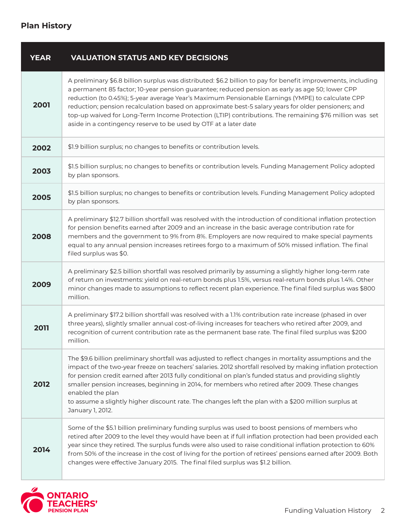## **Plan History**

| <b>YEAR</b> | <b>VALUATION STATUS AND KEY DECISIONS</b>                                                                                                                                                                                                                                                                                                                                                                                                                                                                                                                                                                 |
|-------------|-----------------------------------------------------------------------------------------------------------------------------------------------------------------------------------------------------------------------------------------------------------------------------------------------------------------------------------------------------------------------------------------------------------------------------------------------------------------------------------------------------------------------------------------------------------------------------------------------------------|
| 2001        | A preliminary \$6.8 billion surplus was distributed: \$6.2 billion to pay for benefit improvements, including<br>a permanent 85 factor; 10-year pension guarantee; reduced pension as early as age 50; lower CPP<br>reduction (to 0.45%); 5-year average Year's Maximum Pensionable Earnings (YMPE) to calculate CPP<br>reduction; pension recalculation based on approximate best-5 salary years for older pensioners; and<br>top-up waived for Long-Term Income Protection (LTIP) contributions. The remaining \$76 million was set<br>aside in a contingency reserve to be used by OTF at a later date |
| 2002        | \$1.9 billion surplus; no changes to benefits or contribution levels.                                                                                                                                                                                                                                                                                                                                                                                                                                                                                                                                     |
| 2003        | \$1.5 billion surplus; no changes to benefits or contribution levels. Funding Management Policy adopted<br>by plan sponsors.                                                                                                                                                                                                                                                                                                                                                                                                                                                                              |
| 2005        | \$1.5 billion surplus; no changes to benefits or contribution levels. Funding Management Policy adopted<br>by plan sponsors.                                                                                                                                                                                                                                                                                                                                                                                                                                                                              |
| 2008        | A preliminary \$12.7 billion shortfall was resolved with the introduction of conditional inflation protection<br>for pension benefits earned after 2009 and an increase in the basic average contribution rate for<br>members and the government to 9% from 8%. Employers are now required to make special payments<br>equal to any annual pension increases retirees forgo to a maximum of 50% missed inflation. The final<br>filed surplus was \$0.                                                                                                                                                     |
| 2009        | A preliminary \$2.5 billion shortfall was resolved primarily by assuming a slightly higher long-term rate<br>of return on investments: yield on real-return bonds plus 1.5%, versus real-return bonds plus 1.4%. Other<br>minor changes made to assumptions to reflect recent plan experience. The final filed surplus was \$800<br>million.                                                                                                                                                                                                                                                              |
| 2011        | A preliminary \$17.2 billion shortfall was resolved with a 1.1% contribution rate increase (phased in over<br>three years), slightly smaller annual cost-of-living increases for teachers who retired after 2009, and<br>recognition of current contribution rate as the permanent base rate. The final filed surplus was \$200<br>million.                                                                                                                                                                                                                                                               |
| 2012        | The \$9.6 billion preliminary shortfall was adjusted to reflect changes in mortality assumptions and the<br>impact of the two-year freeze on teachers' salaries. 2012 shortfall resolved by making inflation protection<br>for pension credit earned after 2013 fully conditional on plan's funded status and providing slightly<br>smaller pension increases, beginning in 2014, for members who retired after 2009. These changes<br>enabled the plan<br>to assume a slightly higher discount rate. The changes left the plan with a \$200 million surplus at<br>January 1, 2012.                       |
| 2014        | Some of the \$5.1 billion preliminary funding surplus was used to boost pensions of members who<br>retired after 2009 to the level they would have been at if full inflation protection had been provided each<br>year since they retired. The surplus funds were also used to raise conditional inflation protection to 60%<br>from 50% of the increase in the cost of living for the portion of retirees' pensions earned after 2009. Both<br>changes were effective January 2015. The final filed surplus was \$1.2 billion.                                                                           |